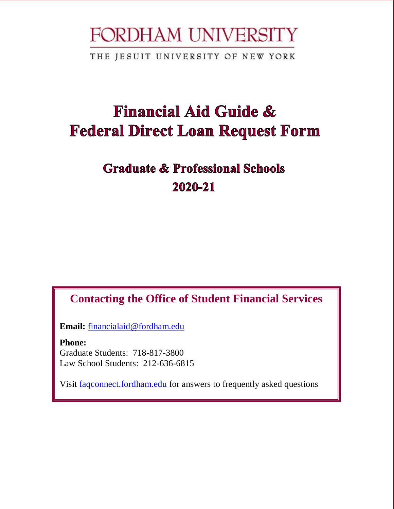# FORDHAM UNIVERSITY

THE JESUIT UNIVERSITY OF NEW YORK

# **Financial Aid Guide & Federal Direct Loan Request Form**

# **Graduate & Professional Schools** 2020-21

## **Contacting the Office of Student Financial Services**

**Email:** [financialaid@fordham.edu](mailto:financialaid@fordham.edu)

**Phone:** Graduate Students: 718-817-3800 Law School Students: 212-636-6815

Visit [faqconnect.fordham.edu](http://faqconnect.fordham.edu/) for answers to frequently asked questions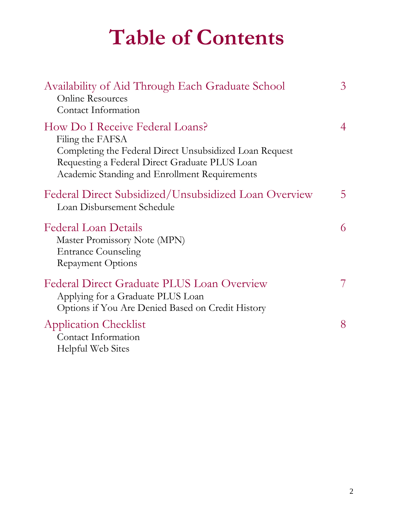# **Table of Contents**

| Availability of Aid Through Each Graduate School<br><b>Online Resources</b><br>Contact Information                                                                                                                | $\mathfrak{Z}$ |
|-------------------------------------------------------------------------------------------------------------------------------------------------------------------------------------------------------------------|----------------|
| How Do I Receive Federal Loans?<br>Filing the FAFSA<br>Completing the Federal Direct Unsubsidized Loan Request<br>Requesting a Federal Direct Graduate PLUS Loan<br>Academic Standing and Enrollment Requirements | 4              |
| Federal Direct Subsidized/Unsubsidized Loan Overview<br>Loan Disbursement Schedule                                                                                                                                | 5              |
| <b>Federal Loan Details</b><br>Master Promissory Note (MPN)<br><b>Entrance Counseling</b><br><b>Repayment Options</b>                                                                                             | 6              |
| <b>Federal Direct Graduate PLUS Loan Overview</b><br>Applying for a Graduate PLUS Loan<br>Options if You Are Denied Based on Credit History                                                                       | 7              |
| <b>Application Checklist</b><br>Contact Information<br>Helpful Web Sites                                                                                                                                          | 8              |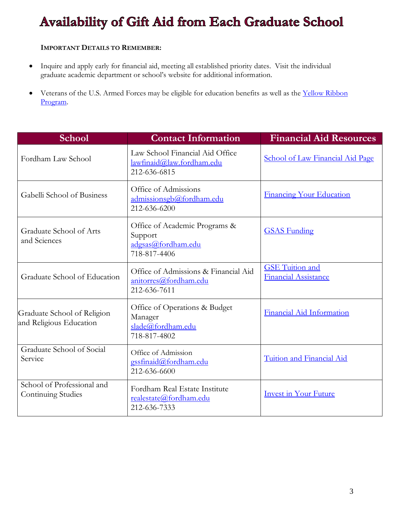# Availability of Gift Aid from Each Graduate School

#### **IMPORTANT DETAILS TO REMEMBER:**

- Inquire and apply early for financial aid, meeting all established priority dates. Visit the individual graduate academic department or school's website for additional information.
- Veterans of the U.S. Armed Forces may be eligible for education benefits as well as the Yellow Ribbon [Program.](http://www.fordham.edu/homepage/238/veteransmilitary)

| <b>School</b>                                           | <b>Contact Information</b>                                                     | <b>Financial Aid Resources</b>                        |
|---------------------------------------------------------|--------------------------------------------------------------------------------|-------------------------------------------------------|
| Fordham Law School                                      | Law School Financial Aid Office<br>lawfinaid@law.fordham.edu<br>212-636-6815   | <b>School of Law Financial Aid Page</b>               |
| Gabelli School of Business                              | Office of Admissions<br>admissionsgb@fordham.edu<br>212-636-6200               | <b>Financing Your Education</b>                       |
| Graduate School of Arts<br>and Sciences                 | Office of Academic Programs &<br>Support<br>adgsas@fordham.edu<br>718-817-4406 | <b>GSAS Funding</b>                                   |
| Graduate School of Education                            | Office of Admissions & Financial Aid<br>anitorres@fordham.edu<br>212-636-7611  | <b>GSE</b> Tuition and<br><b>Financial Assistance</b> |
| Graduate School of Religion<br>and Religious Education  | Office of Operations & Budget<br>Manager<br>slade@fordham.edu<br>718-817-4802  | Financial Aid Information                             |
| Graduate School of Social<br>Service                    | Office of Admission<br>gssfinaid@fordham.edu<br>212-636-6600                   | Tuition and Financial Aid                             |
| School of Professional and<br><b>Continuing Studies</b> | Fordham Real Estate Institute<br>realestate@fordham.edu<br>212-636-7333        | <b>Invest in Your Future</b>                          |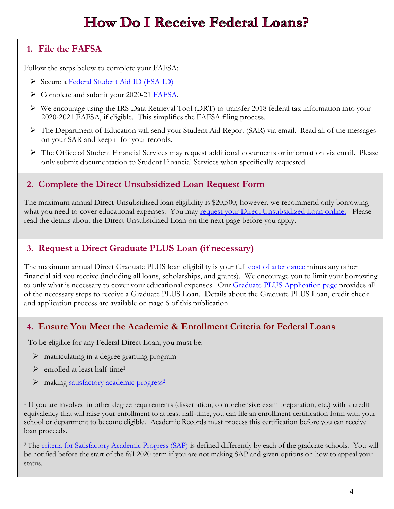# **How Do I Receive Federal Loans?**

#### **1. [File the FAFSA](http://fafsa.ed.gov/)**

Follow the steps below to complete your FAFSA:

- Secure a [Federal Student Aid ID \(FSA ID\)](https://studentaid.gov/fsa-id/create-account)
- Complete and submit your 2020-21 [FAFSA.](https://studentaid.gov/h/apply-for-aid/fafsa)
- We encourage using the IRS Data Retrieval Tool (DRT) to transfer 2018 federal tax information into your 2020-2021 FAFSA, if eligible. This simplifies the FAFSA filing process.
- The Department of Education will send your Student Aid Report (SAR) via email. Read all of the messages on your SAR and keep it for your records.
- $\triangleright$  The Office of Student Financial Services may request additional documents or information via email. Please only submit documentation to Student Financial Services when specifically requested.

#### **2. Complete the [Direct Unsubsidized Loan Request Form](https://my.fordham.edu/site/web/content/financial_aid/loans/graduate_unsubsidized.jsp)**

The maximum annual Direct Unsubsidized loan eligibility is \$20,500; however, we recommend only borrowing what you need to cover educational expenses. You may [request your Direct Unsubsidized Loan online.](https://fass.fordham.edu/NetPartnerStudent/PgApplication.aspx) Please read the details about the Direct Unsubsidized Loan on the next page before you apply.

#### **3. [Request a Direct Graduate PLUS Loan \(if necessary\)](http://www.fordham.edu/info/21681/federal_direct_graduate_plus_loan)**

The maximum annual Direct Graduate PLUS loan eligibility is your full [cost of attendance](https://www.fordham.edu/info/20969/costs_and_financing_options/2739/costs_of_attendance_coa) minus any other financial aid you receive (including all loans, scholarships, and grants). We encourage you to limit your borrowing to only what is necessary to cover your educational expenses. Our [Graduate PLUS Application page](https://www.fordham.edu/info/21681/federal_direct_graduate_plus_loan/9092/apply_for_a_graduate_plus_loan) provides all of the necessary steps to receive a Graduate PLUS Loan. Details about the Graduate PLUS Loan, credit check and application process are available on page 6 of this publication.

#### **4. Ensure You Meet the Academic & Enrollment Criteria for Federal Loans**

To be eligible for any Federal Direct Loan, you must be:

- $\triangleright$  matriculating in a degree granting program
- enrolled at least half-time**<sup>1</sup>**
- making [satisfactory academic progress](https://www.fordham.edu/info/25537/graduate_satisfactory_academic_progress_sap_policy)**<sup>2</sup>**

<sup>1</sup> If you are involved in other degree requirements (dissertation, comprehensive exam preparation, etc.) with a credit equivalency that will raise your enrollment to at least half-time, you can file an enrollment certification form with your school or department to become eligible. Academic Records must process this certification before you can receive loan proceeds.

<sup>2</sup>The [criteria for Satisfactory Academic Progress \(SAP\)](https://www.fordham.edu/info/25537/graduate_satisfactory_academic_progress_sap_policy) is defined differently by each of the graduate schools. You will be notified before the start of the fall 2020 term if you are not making SAP and given options on how to appeal your status.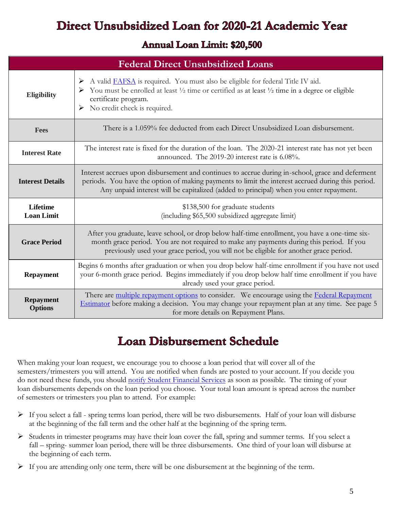# Direct Unsubsidized Loan for 2020-21 Academic Year

#### **Annual Loan Limit: \$20,500**

| <b>Federal Direct Unsubsidized Loans</b> |                                                                                                                                                                                                                                                                                                 |  |  |
|------------------------------------------|-------------------------------------------------------------------------------------------------------------------------------------------------------------------------------------------------------------------------------------------------------------------------------------------------|--|--|
| <b>Eligibility</b>                       | A valid FAFSA is required. You must also be eligible for federal Title IV aid.<br>➤<br>You must be enrolled at least 1/2 time or certified as at least 1/2 time in a degree or eligible<br>certificate program.<br>$\triangleright$ No credit check is required.                                |  |  |
| <b>Fees</b>                              | There is a 1.059% fee deducted from each Direct Unsubsidized Loan disbursement.                                                                                                                                                                                                                 |  |  |
| <b>Interest Rate</b>                     | The interest rate is fixed for the duration of the loan. The 2020-21 interest rate has not yet been<br>announced. The 2019-20 interest rate is 6.08%.                                                                                                                                           |  |  |
| <b>Interest Details</b>                  | Interest accrues upon disbursement and continues to accrue during in-school, grace and deferment<br>periods. You have the option of making payments to limit the interest accrued during this period.<br>Any unpaid interest will be capitalized (added to principal) when you enter repayment. |  |  |
| <b>Lifetime</b><br><b>Loan Limit</b>     | \$138,500 for graduate students<br>(including \$65,500 subsidized aggregate limit)                                                                                                                                                                                                              |  |  |
| <b>Grace Period</b>                      | After you graduate, leave school, or drop below half-time enrollment, you have a one-time six-<br>month grace period. You are not required to make any payments during this period. If you<br>previously used your grace period, you will not be eligible for another grace period.             |  |  |
| <b>Repayment</b>                         | Begins 6 months after graduation or when you drop below half-time enrollment if you have not used<br>your 6-month grace period. Begins immediately if you drop below half time enrollment if you have<br>already used your grace period.                                                        |  |  |
| <b>Repayment</b><br><b>Options</b>       | There are multiple repayment options to consider. We encourage using the Federal Repayment<br>Estimator before making a decision. You may change your repayment plan at any time. See page 5<br>for more details on Repayment Plans.                                                            |  |  |

## **Loan Disbursement Schedule**

When making your loan request, we encourage you to choose a loan period that will cover all of the semesters/trimesters you will attend. You are notified when funds are posted to your account. If you decide you do not need these funds, you should [notify Student Financial Services](mailto:financialaid@fordham.edu) as soon as possible. The timing of your loan disbursements depends on the loan period you choose. Your total loan amount is spread across the number of semesters or trimesters you plan to attend. For example:

- $\triangleright$  If you select a fall spring terms loan period, there will be two disbursements. Half of your loan will disburse at the beginning of the fall term and the other half at the beginning of the spring term.
- $\triangleright$  Students in trimester programs may have their loan cover the fall, spring and summer terms. If you select a fall – spring- summer loan period, there will be three disbursements. One third of your loan will disburse at the beginning of each term.
- $\triangleright$  If you are attending only one term, there will be one disbursement at the beginning of the term.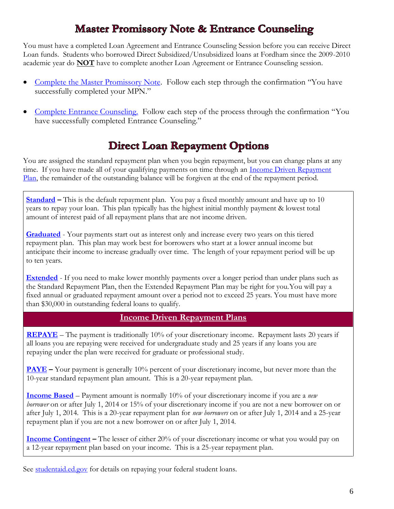## **Master Promissory Note & Entrance Counseling**

You must have a completed Loan Agreement and Entrance Counseling Session before you can receive Direct Loan funds. Students who borrowed Direct Subsidized/Unsubsidized loans at Fordham since the 2009-2010 academic year do **NOT** have to complete another Loan Agreement or Entrance Counseling session.

- [Complete the Master Promissory Note.](https://studentaid.gov/app/launchMpn.action?mpnType=subUnsubMpn) Follow each step through the confirmation "You have successfully completed your MPN."
- [Complete Entrance Counseling.](https://studentaid.gov/app/counselingInstructions.action?counselingType=entrance) Follow each step of the process through the confirmation "You have successfully completed Entrance Counseling."

## **Direct Loan Repayment Options**

You are assigned the standard repayment plan when you begin repayment, but you can change plans at any time. If you have made all of your qualifying payments on time through an Income Driven Repayment [Plan,](https://studentaid.ed.gov/sa/repay-loans/understand/plans/income-driven) the remainder of the outstanding balance will be forgiven at the end of the repayment period.

**[Standard](https://studentaid.ed.gov/sa/repay-loans/understand/plans/standard) –** This is the default repayment plan. You pay a fixed monthly amount and have up to 10 years to repay your loan. This plan typically has the highest initial monthly payment & lowest total amount of interest paid of all repayment plans that are not income driven.

**[Graduated](https://studentaid.ed.gov/sa/repay-loans/understand/plans/graduated)** - Your payments start out as interest only and increase every two years on this tiered repayment plan. This plan may work best for borrowers who start at a lower annual income but anticipate their income to increase gradually over time. The length of your repayment period will be up to ten years.

**[Extended](https://studentaid.ed.gov/sa/repay-loans/understand/plans/extended)** - If you need to make lower monthly payments over a longer period than under plans such as the Standard Repayment Plan, then the Extended Repayment Plan may be right for you.You will pay a fixed annual or graduated repayment amount over a period not to exceed 25 years. You must have more than \$30,000 in outstanding federal loans to qualify.

#### **Income Driven Repayment Plans**

**[REPAYE](https://studentaid.ed.gov/sa/repay-loans/understand/plans/income-driven)** – The payment is traditionally 10% of your discretionary income. Repayment lasts 20 years if all loans you are repaying were received for undergraduate study and 25 years if any loans you are repaying under the plan were received for graduate or professional study.

**[PAYE](https://studentaid.ed.gov/sa/repay-loans/understand/plans/income-driven)** – Your payment is generally 10% percent of your discretionary income, but never more than the 10-year standard repayment plan amount. This is a 20-year repayment plan.

**[Income Based](https://studentaid.ed.gov/sa/repay-loans/understand/plans/income-driven)** – Payment amount is normally 10% of your discretionary income if you are a *new borrower* on or after July 1, 2014 or 15% of your discretionary income if you are not a new borrower on or after July 1, 2014. This is a 20-year repayment plan for *new borrowers* on or after July 1, 2014 and a 25-year repayment plan if you are not a new borrower on or after July 1, 2014.

**[Income Contingent](https://studentaid.ed.gov/sa/repay-loans/understand/plans/income-driven)** – The lesser of either 20% of your discretionary income or what you would pay on a 12-year repayment plan based on your income. This is a 25-year repayment plan.

See [studentaid.ed.gov](http://studentaid.ed.gov/repay-loans) for details on repaying your federal student loans.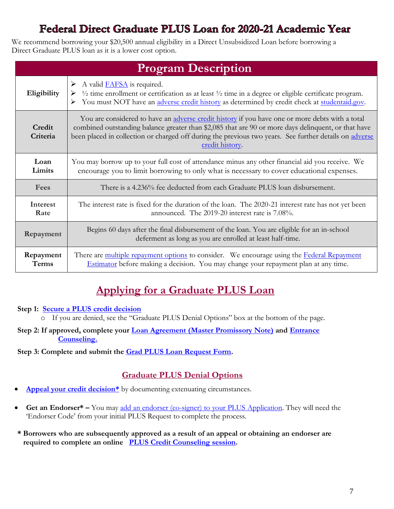## Federal Direct Graduate PLUS Loan for 2020-21 Academic Year

We recommend borrowing your \$20,500 annual eligibility in a Direct Unsubsidized Loan before borrowing a Direct Graduate PLUS loan as it is a lower cost option.

| <b>Program Description</b> |                                                                                                                                                                                                                                                                                                                                     |  |  |  |
|----------------------------|-------------------------------------------------------------------------------------------------------------------------------------------------------------------------------------------------------------------------------------------------------------------------------------------------------------------------------------|--|--|--|
| Eligibility                | A valid <b>FAFSA</b> is required.<br>➤<br>$\frac{1}{2}$ time enrollment or certification as at least $\frac{1}{2}$ time in a degree or eligible certificate program.<br>➤<br>You must NOT have an adverse credit history as determined by credit check at studentaid.gov.<br>➤                                                      |  |  |  |
| Credit<br>Criteria         | You are considered to have an adverse credit history if you have one or more debts with a total<br>combined outstanding balance greater than \$2,085 that are 90 or more days delinquent, or that have<br>been placed in collection or charged off during the previous two years. See further details on adverse<br>credit history. |  |  |  |
| Loan<br>Limits             | You may borrow up to your full cost of attendance minus any other financial aid you receive. We<br>encourage you to limit borrowing to only what is necessary to cover educational expenses.                                                                                                                                        |  |  |  |
| Fees                       | There is a 4.236% fee deducted from each Graduate PLUS loan disbursement.                                                                                                                                                                                                                                                           |  |  |  |
| Interest<br>Rate           | The interest rate is fixed for the duration of the loan. The 2020-21 interest rate has not yet been<br>announced. The 2019-20 interest rate is 7.08%.                                                                                                                                                                               |  |  |  |
| Repayment                  | Begins 60 days after the final disbursement of the loan. You are eligible for an in-school<br>deferment as long as you are enrolled at least half-time.                                                                                                                                                                             |  |  |  |
| Repayment<br><b>Terms</b>  | There are multiple repayment options to consider. We encourage using the Federal Repayment<br>Estimator before making a decision. You may change your repayment plan at any time.                                                                                                                                                   |  |  |  |

## **Applying for a Graduate PLUS Loan**

#### **Step 1: [Secure a PLUS credit decision](https://studentaid.gov/app/launchPLUS.action?plusType=gradPlus)**

o If you are denied, see the "Graduate PLUS Denial Options" box at the bottom of the page.

**Step 2: If approved, complete your [Loan Agreement \(Master Promissory Note\)](https://studentaid.gov/app/launchMpn.action?mpnType=gradPlusMpn) and [Entrance](https://studentaid.gov/app/counselingInstructions.action?counselingType=entrance)   [Counseling.](https://studentaid.gov/app/counselingInstructions.action?counselingType=entrance)** 

**Step 3: Complete and submit the [Grad PLUS Loan Request Form.](https://www.fordham.edu/info/21681/federal_direct_graduate_plus_loan/9092/apply_for_a_graduate_plus_loan)**

#### **Graduate PLUS Denial Options**

- Appeal your credit decision<sup>\*</sup> by documenting extenuating circumstances.
- Get an Endorser<sup>\*</sup> You may [add an endorser \(co-signer\) to your PLUS Application.](https://studentaid.gov/app/launchEndorserAddendum.action) They will need the 'Endorser Code' from your initial PLUS Request to complete the process.
- **\* Borrowers who are subsequently approved as a result of an appeal or obtaining an endorser are required to complete an online [PLUS Credit Counseling](https://studentaid.gov/app/counselingInstructions.action?counselingType=plus) session.**